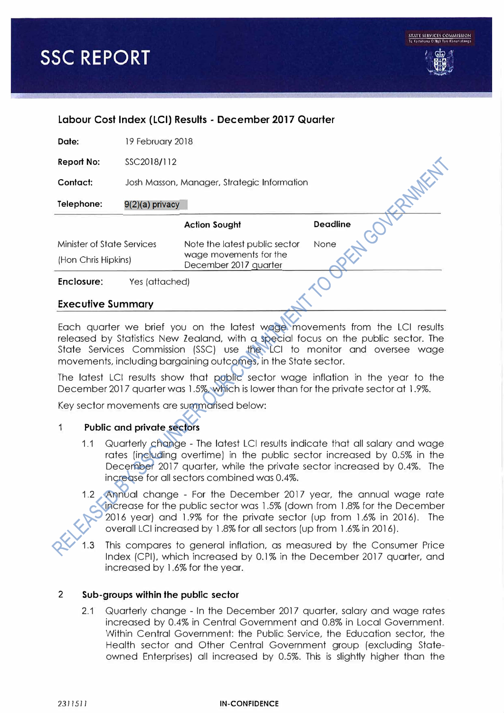

| Labour Cost Index (LCI) Results - December 2017 Quarter |                                             |                                                                                  |                 |  |  |  |
|---------------------------------------------------------|---------------------------------------------|----------------------------------------------------------------------------------|-----------------|--|--|--|
| Date:                                                   | 19 February 2018                            |                                                                                  |                 |  |  |  |
| <b>Report No:</b>                                       | SSC2018/112                                 |                                                                                  |                 |  |  |  |
| Contact:                                                | Josh Masson, Manager, Strategic Information |                                                                                  |                 |  |  |  |
| Telephone:                                              | $9(2)(a)$ privacy                           |                                                                                  |                 |  |  |  |
|                                                         |                                             | <b>Action Sought</b>                                                             | <b>Deadline</b> |  |  |  |
| Minister of State Services<br>(Hon Chris Hipkins)       |                                             | Note the latest public sector<br>wage movements for the<br>December 2017 quarter | None            |  |  |  |
| Enclosure:                                              | Yes (attached)                              |                                                                                  |                 |  |  |  |

### **Executive Summary**

Each quarter we brief you on the latest wage movements from the LCI results released by Statistics New Zealand, with a special focus on the public sector. The State Services Commission (SSC) use the LCI to monitor and oversee wage movements, including bargaining outcomes, in the State sector.

The latest LCI results show that public sector wage inflation in the year to the December 2017 quarter was 1.5%, which is lower than for the private sector at 1.9%.

Key sector movements are summarised below:

## 1 **Public and private sectors**

- 1.1 Quarterly change The latest LCI results indicate that all salary and wage rates [including overtime) in the public sector increased by 0.5% in the December 2017 quarter, while the private sector increased by 0.4%. The increase for all sectors combined was 0.4%.
- 1.2 Annual change For the December 2017 year, the annual wage rate increase for the public sector was 1 .5% ( down from l .8% for the December 2016 year) and 1.9% for the private sector (up from 1.6% in 2016). The overall LCI increased by 1.8% for all sectors [up from 1.6% in 2016).

1.3 This compares to general inflation, as measured by the Consumer Price Index (CPI), which increased by 0.1% in the December 2017 quarter, and increased by l .6% for the year.

#### 2 **Sub-groups within the public sector**

2.1 Quarterly change - In the December 2017 quarter, salary and wage rates increased by 0.4% in Central Government and 0.8% in Local Government. Within Central Government: the Public Service, the Education sector, the Health sector and Other Central Government group (excluding Stateowned Enterprises) all increased by 0.5%. This is slightly higher than the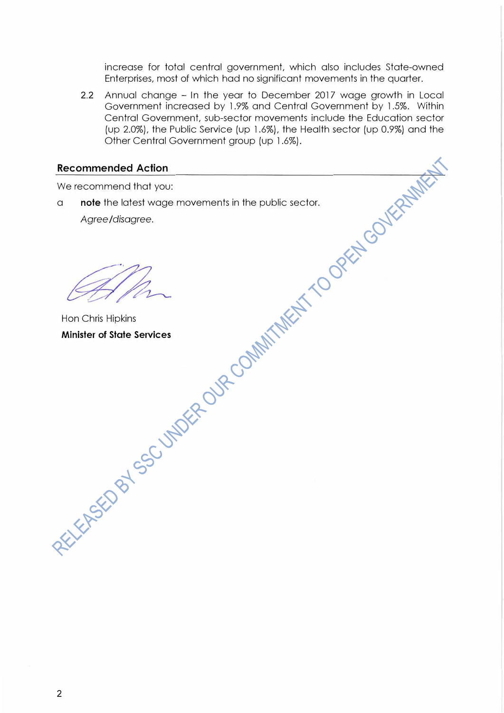increase for total central government, which also includes State-owned Enterprises, most of which had no significant movements in the quarter.

2.2 Annual change - In the year to December 2017 wage growth in Local Government increased by 1.9% and Central Government by 1.5%. Within Central Government, sub-sector movements include the Education sector (up 2.0%), the Public Service (up 1.6%), the Health sector (up 0.9%) and the Other Central Government group (up 1 .6%).

## **Recommended Action**

We recommend that you:

<sup>a</sup>**note** the latest wage movements in the public sector. *Agree/disagree.* 

Hon Chris Hipkins **Minister of State Services**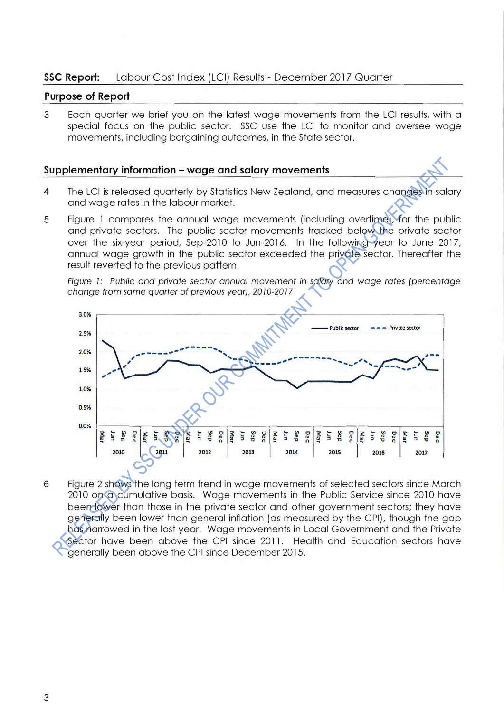# **SSC Report:** Labour Cost Index (LCI) Results - December 2017 Quarter

## **Purpose of Report**

3 Each quarter we brief you on the latest wage movements from the LCI results, with a special focus on the public sector. SSC use the LCI to monitor and oversee wage movements, including bargaining outcomes, in the State sector.

### **Supplementary information - wage and salary movements**

- 4 The LCI is released quarterly by Statistics New Zealand, and measures changes in salary and wage rates in the labour market.
- 5 Figure 1 compares the annual wage movements (including overtime), for the public and private sectors. The public sector movements tracked below the private sector over the six-year period, Sep-2010 to Jun-2016. In the following year to June 2017, annual wage growth in the public sector exceeded the private sector. Thereafter the result reverted to the previous pattern.

*Figure 1: Public and private sector annual movement in salary and wage rates (percentage change from same quarter of previous year), 2010-2017* 



6 Figure 2 shows the long term trend in wage movements of selected sectors since March 2010 on a cumulative basis. Wage movements in the Public Service since 2010 have been lower than those in the private sector and other government sectors; they have generally been lower than general inflation (as measured by the CPI), though the gap has narrowed in the last year. Wage movements in Local Government and the Private Sector have been above the CPI since 2011. Health and Education sectors have generally been above the CPI since December 2015.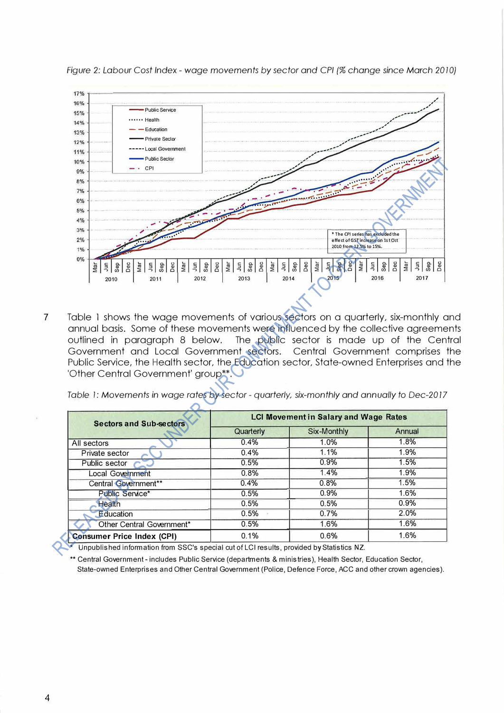

*Figure 2: Labour Cost Index - wage movements by sector and CPI (% change since March 2010)* 

7 Table 1 shows the wage movements of various sectors on a quarterly, six-monthly and annual basis. Some of these movements were influenced by the collective agreements outlined in paragraph 8 below. The public sector is made up of the Central Government and Local Government sectors. Central Government comprises the Public Service, the Health sector, the Education sector, State-owned Enterprises and the 'Other Central Government' group\*\*.

*Table I: Movements in wage rates by sector - quarterly, six-monthly and annually to Dec-2017* 

| <b>Sectors and Sub-sectors</b>    | <b>LCI Movement in Salary and Wage Rates</b> |             |        |
|-----------------------------------|----------------------------------------------|-------------|--------|
|                                   | Quarterly                                    | Six-Monthly | Annual |
| All sectors                       | 0.4%                                         | 1.0%        | 1.8%   |
| Private sector                    | 0.4%                                         | 1.1%        | 1.9%   |
| Public sector                     | 0.5%                                         | 0.9%        | 1.5%   |
| <b>Local Government</b>           | 0.8%                                         | 1.4%        | 1.9%   |
| Central Government**              | 0.4%                                         | 0.8%        | 1.5%   |
| Public Service*                   | 0.5%                                         | 0.9%        | 1.6%   |
| <b>Health</b>                     | 0.5%                                         | 0.5%        | 0.9%   |
| Education                         | 0.5%                                         | 0.7%        | 2.0%   |
| Other Central Government*         | 0.5%                                         | 1.6%        | 1.6%   |
| <b>Consumer Price Index (CPI)</b> | 0.1%                                         | 0.6%        | 1.6%   |

Unpublished information from SSC's special cut of LCI results, provided by Statistics NZ.

Central Government - includes Public Service (departments & ministries), Health Sector, Education Sector, State-owned Enterprises and other Central Government (Police, Defence Force, ACC and other crown agencies).